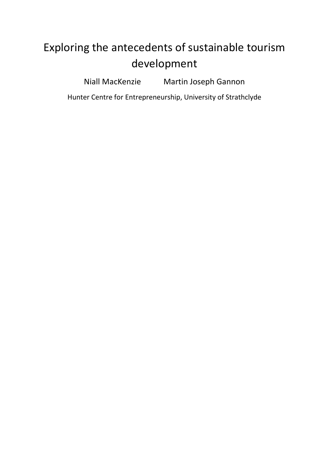# Exploring the antecedents of sustainable tourism development

Niall MacKenzie Martin Joseph Gannon

Hunter Centre for Entrepreneurship, University of Strathclyde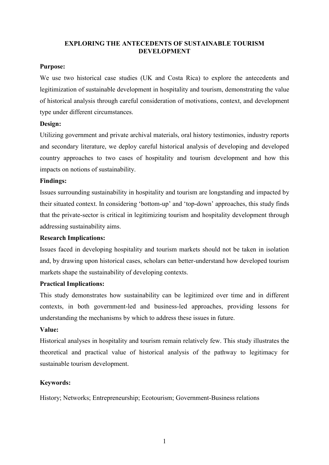# **EXPLORING THE ANTECEDENTS OF SUSTAINABLE TOURISM DEVELOPMENT**

# **Purpose:**

We use two historical case studies (UK and Costa Rica) to explore the antecedents and legitimization of sustainable development in hospitality and tourism, demonstrating the value of historical analysis through careful consideration of motivations, context, and development type under different circumstances.

# **Design:**

Utilizing government and private archival materials, oral history testimonies, industry reports and secondary literature, we deploy careful historical analysis of developing and developed country approaches to two cases of hospitality and tourism development and how this impacts on notions of sustainability.

# **Findings:**

Issues surrounding sustainability in hospitality and tourism are longstanding and impacted by their situated context. In considering 'bottom-up' and 'top-down' approaches, this study finds that the private-sector is critical in legitimizing tourism and hospitality development through addressing sustainability aims.

# **Research Implications:**

Issues faced in developing hospitality and tourism markets should not be taken in isolation and, by drawing upon historical cases, scholars can better-understand how developed tourism markets shape the sustainability of developing contexts.

# **Practical Implications:**

This study demonstrates how sustainability can be legitimized over time and in different contexts, in both government-led and business-led approaches, providing lessons for understanding the mechanisms by which to address these issues in future.

# **Value:**

Historical analyses in hospitality and tourism remain relatively few. This study illustrates the theoretical and practical value of historical analysis of the pathway to legitimacy for sustainable tourism development.

# **Keywords:**

History; Networks; Entrepreneurship; Ecotourism; Government-Business relations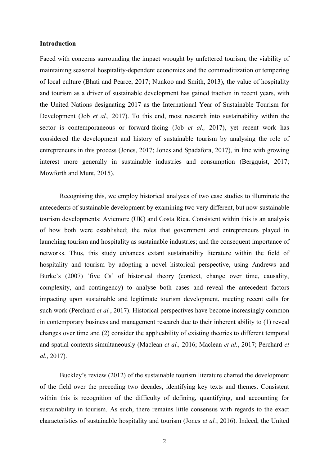#### **Introduction**

Faced with concerns surrounding the impact wrought by unfettered tourism, the viability of maintaining seasonal hospitality-dependent economies and the commoditization or tempering of local culture (Bhati and Pearce, 2017; Nunkoo and Smith, 2013), the value of hospitality and tourism as a driver of sustainable development has gained traction in recent years, with the United Nations designating 2017 as the International Year of Sustainable Tourism for Development (Job *et al.,* 2017). To this end, most research into sustainability within the sector is contemporaneous or forward-facing (Job *et al.,* 2017), yet recent work has considered the development and history of sustainable tourism by analysing the role of entrepreneurs in this process (Jones, 2017; Jones and Spadafora, 2017), in line with growing interest more generally in sustainable industries and consumption (Bergquist, 2017; Mowforth and Munt, 2015).

Recognising this, we employ historical analyses of two case studies to illuminate the antecedents of sustainable development by examining two very different, but now-sustainable tourism developments: Aviemore (UK) and Costa Rica. Consistent within this is an analysis of how both were established; the roles that government and entrepreneurs played in launching tourism and hospitality as sustainable industries; and the consequent importance of networks. Thus, this study enhances extant sustainability literature within the field of hospitality and tourism by adopting a novel historical perspective, using Andrews and Burke's (2007) 'five Cs' of historical theory (context, change over time, causality, complexity, and contingency) to analyse both cases and reveal the antecedent factors impacting upon sustainable and legitimate tourism development, meeting recent calls for such work (Perchard *et al.*, 2017). Historical perspectives have become increasingly common in contemporary business and management research due to their inherent ability to (1) reveal changes over time and (2) consider the applicability of existing theories to different temporal and spatial contexts simultaneously (Maclean *et al.,* 2016; Maclean *et al.*, 2017; Perchard *et al.*, 2017).

Buckley's review (2012) of the sustainable tourism literature charted the development of the field over the preceding two decades, identifying key texts and themes. Consistent within this is recognition of the difficulty of defining, quantifying, and accounting for sustainability in tourism. As such, there remains little consensus with regards to the exact characteristics of sustainable hospitality and tourism (Jones *et al.*, 2016). Indeed, the United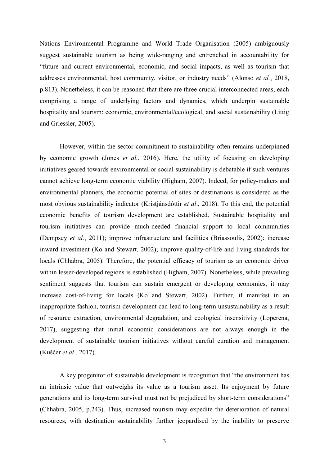Nations Environmental Programme and World Trade Organisation (2005) ambiguously suggest sustainable tourism as being wide-ranging and entrenched in accountability for "future and current environmental, economic, and social impacts, as well as tourism that addresses environmental, host community, visitor, or industry needs" (Alonso *et al.*, 2018, p.813). Nonetheless, it can be reasoned that there are three crucial interconnected areas, each comprising a range of underlying factors and dynamics, which underpin sustainable hospitality and tourism: economic, environmental/ecological, and social sustainability (Littig and Griessler, 2005).

However, within the sector commitment to sustainability often remains underpinned by economic growth (Jones *et al.*, 2016). Here, the utility of focusing on developing initiatives geared towards environmental or social sustainability is debatable if such ventures cannot achieve long-term economic viability (Higham, 2007). Indeed, for policy-makers and environmental planners, the economic potential of sites or destinations is considered as the most obvious sustainability indicator (Kristjánsdóttir *et al*., 2018). To this end, the potential economic benefits of tourism development are established. Sustainable hospitality and tourism initiatives can provide much-needed financial support to local communities (Dempsey *et al.*, 2011); improve infrastructure and facilities (Briassoulis, 2002): increase inward investment (Ko and Stewart, 2002); improve quality-of-life and living standards for locals (Chhabra, 2005). Therefore, the potential efficacy of tourism as an economic driver within lesser-developed regions is established (Higham, 2007). Nonetheless, while prevailing sentiment suggests that tourism can sustain emergent or developing economies, it may increase cost-of-living for locals (Ko and Stewart, 2002). Further, if manifest in an inappropriate fashion, tourism development can lead to long-term unsustainability as a result of resource extraction, environmental degradation, and ecological insensitivity (Loperena, 2017), suggesting that initial economic considerations are not always enough in the development of sustainable tourism initiatives without careful curation and management (Kuščer *et al*., 2017).

A key progenitor of sustainable development is recognition that "the environment has an intrinsic value that outweighs its value as a tourism asset. Its enjoyment by future generations and its long-term survival must not be prejudiced by short-term considerations" (Chhabra, 2005, p.243). Thus, increased tourism may expedite the deterioration of natural resources, with destination sustainability further jeopardised by the inability to preserve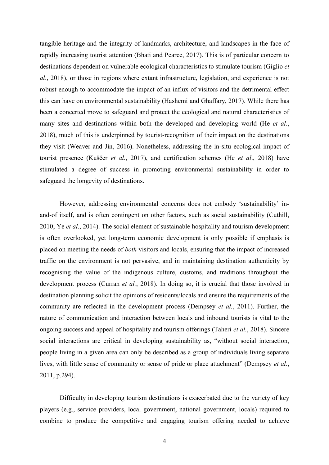tangible heritage and the integrity of landmarks, architecture, and landscapes in the face of rapidly increasing tourist attention (Bhati and Pearce, 2017). This is of particular concern to destinations dependent on vulnerable ecological characteristics to stimulate tourism (Giglio *et al*., 2018), or those in regions where extant infrastructure, legislation, and experience is not robust enough to accommodate the impact of an influx of visitors and the detrimental effect this can have on environmental sustainability (Hashemi and Ghaffary, 2017). While there has been a concerted move to safeguard and protect the ecological and natural characteristics of many sites and destinations within both the developed and developing world (He *et al*., 2018), much of this is underpinned by tourist-recognition of their impact on the destinations they visit (Weaver and Jin, 2016). Nonetheless, addressing the in-situ ecological impact of tourist presence (Kuščer *et al.*, 2017), and certification schemes (He *et al*., 2018) have stimulated a degree of success in promoting environmental sustainability in order to safeguard the longevity of destinations.

However, addressing environmental concerns does not embody 'sustainability' inand-of itself, and is often contingent on other factors, such as social sustainability (Cuthill, 2010; Ye *et al*., 2014). The social element of sustainable hospitality and tourism development is often overlooked, yet long-term economic development is only possible if emphasis is placed on meeting the needs of *both* visitors and locals, ensuring that the impact of increased traffic on the environment is not pervasive, and in maintaining destination authenticity by recognising the value of the indigenous culture, customs, and traditions throughout the development process (Curran *et al.*, 2018). In doing so, it is crucial that those involved in destination planning solicit the opinions of residents/locals and ensure the requirements of the community are reflected in the development process (Dempsey *et al.*, 2011). Further, the nature of communication and interaction between locals and inbound tourists is vital to the ongoing success and appeal of hospitality and tourism offerings (Taheri *et al.*, 2018). Sincere social interactions are critical in developing sustainability as, "without social interaction, people living in a given area can only be described as a group of individuals living separate lives, with little sense of community or sense of pride or place attachment" (Dempsey *et al.*, 2011, p.294).

Difficulty in developing tourism destinations is exacerbated due to the variety of key players (e.g., service providers, local government, national government, locals) required to combine to produce the competitive and engaging tourism offering needed to achieve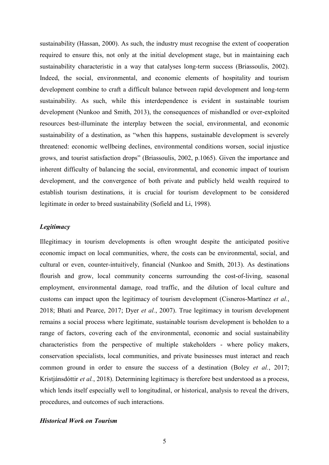sustainability (Hassan, 2000). As such, the industry must recognise the extent of cooperation required to ensure this, not only at the initial development stage, but in maintaining each sustainability characteristic in a way that catalyses long-term success (Briassoulis, 2002). Indeed, the social, environmental, and economic elements of hospitality and tourism development combine to craft a difficult balance between rapid development and long-term sustainability. As such, while this interdependence is evident in sustainable tourism development (Nunkoo and Smith, 2013), the consequences of mishandled or over-exploited resources best-illuminate the interplay between the social, environmental, and economic sustainability of a destination, as "when this happens, sustainable development is severely threatened: economic wellbeing declines, environmental conditions worsen, social injustice grows, and tourist satisfaction drops" (Briassoulis, 2002, p.1065). Given the importance and inherent difficulty of balancing the social, environmental, and economic impact of tourism development, and the convergence of both private and publicly held wealth required to establish tourism destinations, it is crucial for tourism development to be considered legitimate in order to breed sustainability (Sofield and Li, 1998).

# *Legitimacy*

Illegitimacy in tourism developments is often wrought despite the anticipated positive economic impact on local communities, where, the costs can be environmental, social, and cultural or even, counter-intuitively, financial (Nunkoo and Smith, 2013). As destinations flourish and grow, local community concerns surrounding the cost-of-living, seasonal employment, environmental damage, road traffic, and the dilution of local culture and customs can impact upon the legitimacy of tourism development (Cisneros-Martínez *et al.*, 2018; Bhati and Pearce, 2017; Dyer *et al.*, 2007). True legitimacy in tourism development remains a social process where legitimate, sustainable tourism development is beholden to a range of factors, covering each of the environmental, economic and social sustainability characteristics from the perspective of multiple stakeholders - where policy makers, conservation specialists, local communities, and private businesses must interact and reach common ground in order to ensure the success of a destination (Boley *et al.*, 2017; Kristjánsdóttir *et al.*, 2018). Determining legitimacy is therefore best understood as a process, which lends itself especially well to longitudinal, or historical, analysis to reveal the drivers, procedures, and outcomes of such interactions.

#### *Historical Work on Tourism*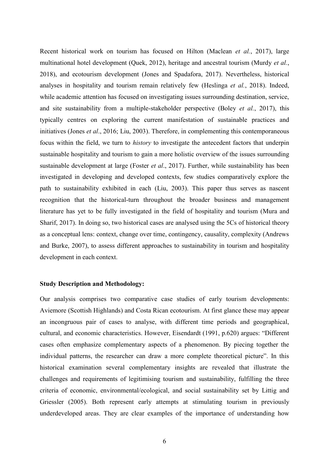Recent historical work on tourism has focused on Hilton (Maclean *et al.*, 2017), large multinational hotel development (Quek, 2012), heritage and ancestral tourism (Murdy *et al.*, 2018), and ecotourism development (Jones and Spadafora, 2017). Nevertheless, historical analyses in hospitality and tourism remain relatively few (Heslinga *et al.*, 2018). Indeed, while academic attention has focused on investigating issues surrounding destination, service, and site sustainability from a multiple-stakeholder perspective (Boley *et al.*, 2017), this typically centres on exploring the current manifestation of sustainable practices and initiatives (Jones *et al*., 2016; Liu, 2003). Therefore, in complementing this contemporaneous focus within the field, we turn to *history* to investigate the antecedent factors that underpin sustainable hospitality and tourism to gain a more holistic overview of the issues surrounding sustainable development at large (Foster *et al*., 2017). Further, while sustainability has been investigated in developing and developed contexts, few studies comparatively explore the path to sustainability exhibited in each (Liu, 2003). This paper thus serves as nascent recognition that the historical-turn throughout the broader business and management literature has yet to be fully investigated in the field of hospitality and tourism (Mura and Sharif, 2017). In doing so, two historical cases are analysed using the 5Cs of historical theory as a conceptual lens: context, change over time, contingency, causality, complexity (Andrews and Burke, 2007), to assess different approaches to sustainability in tourism and hospitality development in each context.

#### **Study Description and Methodology:**

Our analysis comprises two comparative case studies of early tourism developments: Aviemore (Scottish Highlands) and Costa Rican ecotourism. At first glance these may appear an incongruous pair of cases to analyse, with different time periods and geographical, cultural, and economic characteristics. However, Eisendardt (1991, p.620) argues: "Different cases often emphasize complementary aspects of a phenomenon. By piecing together the individual patterns, the researcher can draw a more complete theoretical picture". In this historical examination several complementary insights are revealed that illustrate the challenges and requirements of legitimising tourism and sustainability, fulfilling the three criteria of economic, environmental/ecological, and social sustainability set by Littig and Griessler (2005). Both represent early attempts at stimulating tourism in previously underdeveloped areas. They are clear examples of the importance of understanding how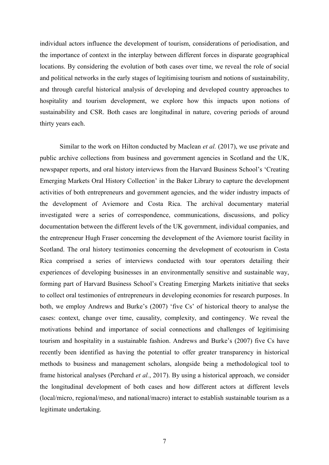individual actors influence the development of tourism, considerations of periodisation, and the importance of context in the interplay between different forces in disparate geographical locations. By considering the evolution of both cases over time, we reveal the role of social and political networks in the early stages of legitimising tourism and notions of sustainability, and through careful historical analysis of developing and developed country approaches to hospitality and tourism development, we explore how this impacts upon notions of sustainability and CSR. Both cases are longitudinal in nature, covering periods of around thirty years each.

Similar to the work on Hilton conducted by Maclean *et al.* (2017), we use private and public archive collections from business and government agencies in Scotland and the UK, newspaper reports, and oral history interviews from the Harvard Business School's 'Creating Emerging Markets Oral History Collection' in the Baker Library to capture the development activities of both entrepreneurs and government agencies, and the wider industry impacts of the development of Aviemore and Costa Rica. The archival documentary material investigated were a series of correspondence, communications, discussions, and policy documentation between the different levels of the UK government, individual companies, and the entrepreneur Hugh Fraser concerning the development of the Aviemore tourist facility in Scotland. The oral history testimonies concerning the development of ecotourism in Costa Rica comprised a series of interviews conducted with tour operators detailing their experiences of developing businesses in an environmentally sensitive and sustainable way, forming part of Harvard Business School's Creating Emerging Markets initiative that seeks to collect oral testimonies of entrepreneurs in developing economies for research purposes. In both, we employ Andrews and Burke's (2007) 'five Cs' of historical theory to analyse the cases: context, change over time, causality, complexity, and contingency. We reveal the motivations behind and importance of social connections and challenges of legitimising tourism and hospitality in a sustainable fashion. Andrews and Burke's (2007) five Cs have recently been identified as having the potential to offer greater transparency in historical methods to business and management scholars, alongside being a methodological tool to frame historical analyses (Perchard *et al.*, 2017). By using a historical approach, we consider the longitudinal development of both cases and how different actors at different levels (local/micro, regional/meso, and national/macro) interact to establish sustainable tourism as a legitimate undertaking.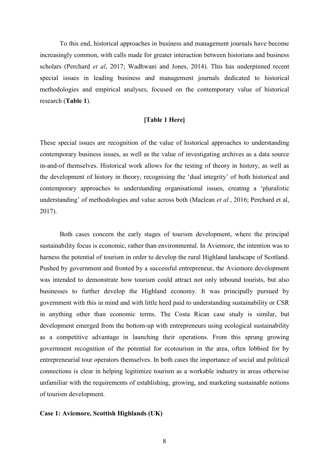To this end, historical approaches in business and management journals have become increasingly common, with calls made for greater interaction between historians and business scholars (Perchard *et al*, 2017; Wadhwani and Jones, 2014). This has underpinned recent special issues in leading business and management journals dedicated to historical methodologies and empirical analyses, focused on the contemporary value of historical research (**Table 1**).

#### **[Table 1 Here]**

These special issues are recognition of the value of historical approaches to understanding contemporary business issues, as well as the value of investigating archives as a data source in-and-of themselves. Historical work allows for the testing of theory in history, as well as the development of history in theory, recognising the 'dual integrity' of both historical and contemporary approaches to understanding organisational issues, creating a 'pluralistic understanding' of methodologies and value across both (Maclean *et al.*, 2016; Perchard et al, 2017).

Both cases concern the early stages of tourism development, where the principal sustainability focus is economic, rather than environmental. In Aviemore, the intention was to harness the potential of tourism in order to develop the rural Highland landscape of Scotland. Pushed by government and fronted by a successful entrepreneur, the Aviemore development was intended to demonstrate how tourism could attract not only inbound tourists, but also businesses to further develop the Highland economy. It was principally pursued by government with this in mind and with little heed paid to understanding sustainability or CSR in anything other than economic terms. The Costa Rican case study is similar, but development emerged from the bottom-up with entrepreneurs using ecological sustainability as a competitive advantage in launching their operations. From this sprung growing government recognition of the potential for ecotourism in the area, often lobbied for by entrepreneurial tour operators themselves. In both cases the importance of social and political connections is clear in helping legitimize tourism as a workable industry in areas otherwise unfamiliar with the requirements of establishing, growing, and marketing sustainable notions of tourism development.

#### **Case 1: Aviemore, Scottish Highlands (UK)**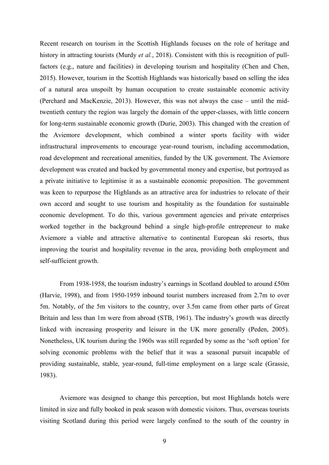Recent research on tourism in the Scottish Highlands focuses on the role of heritage and history in attracting tourists (Murdy *et al.*, 2018). Consistent with this is recognition of pullfactors (e.g., nature and facilities) in developing tourism and hospitality (Chen and Chen, 2015). However, tourism in the Scottish Highlands was historically based on selling the idea of a natural area unspoilt by human occupation to create sustainable economic activity (Perchard and MacKenzie, 2013). However, this was not always the case – until the midtwentieth century the region was largely the domain of the upper-classes, with little concern for long-term sustainable economic growth (Durie, 2003). This changed with the creation of the Aviemore development, which combined a winter sports facility with wider infrastructural improvements to encourage year-round tourism, including accommodation, road development and recreational amenities, funded by the UK government. The Aviemore development was created and backed by governmental money and expertise, but portrayed as a private initiative to legitimise it as a sustainable economic proposition. The government was keen to repurpose the Highlands as an attractive area for industries to relocate of their own accord and sought to use tourism and hospitality as the foundation for sustainable economic development. To do this, various government agencies and private enterprises worked together in the background behind a single high-profile entrepreneur to make Aviemore a viable and attractive alternative to continental European ski resorts, thus improving the tourist and hospitality revenue in the area, providing both employment and self-sufficient growth.

From 1938-1958, the tourism industry's earnings in Scotland doubled to around £50m (Harvie, 1998), and from 1950-1959 inbound tourist numbers increased from 2.7m to over 5m. Notably, of the 5m visitors to the country, over 3.5m came from other parts of Great Britain and less than 1m were from abroad (STB, 1961). The industry's growth was directly linked with increasing prosperity and leisure in the UK more generally (Peden, 2005). Nonetheless, UK tourism during the 1960s was still regarded by some as the 'soft option' for solving economic problems with the belief that it was a seasonal pursuit incapable of providing sustainable, stable, year-round, full-time employment on a large scale (Grassie, 1983).

Aviemore was designed to change this perception, but most Highlands hotels were limited in size and fully booked in peak season with domestic visitors. Thus, overseas tourists visiting Scotland during this period were largely confined to the south of the country in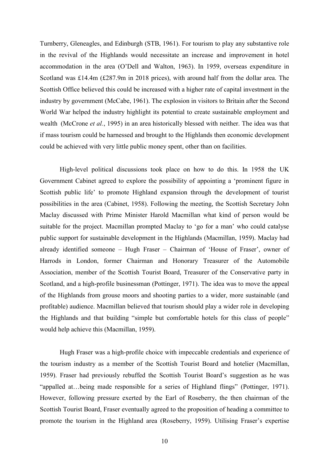Turnberry, Gleneagles, and Edinburgh (STB, 1961). For tourism to play any substantive role in the revival of the Highlands would necessitate an increase and improvement in hotel accommodation in the area (O'Dell and Walton, 1963). In 1959, overseas expenditure in Scotland was £14.4m (£287.9m in 2018 prices), with around half from the dollar area. The Scottish Office believed this could be increased with a higher rate of capital investment in the industry by government (McCabe, 1961). The explosion in visitors to Britain after the Second World War helped the industry highlight its potential to create sustainable employment and wealth (McCrone *et al.*, 1995) in an area historically blessed with neither. The idea was that if mass tourism could be harnessed and brought to the Highlands then economic development could be achieved with very little public money spent, other than on facilities.

High-level political discussions took place on how to do this. In 1958 the UK Government Cabinet agreed to explore the possibility of appointing a 'prominent figure in Scottish public life' to promote Highland expansion through the development of tourist possibilities in the area (Cabinet, 1958). Following the meeting, the Scottish Secretary John Maclay discussed with Prime Minister Harold Macmillan what kind of person would be suitable for the project. Macmillan prompted Maclay to 'go for a man' who could catalyse public support for sustainable development in the Highlands (Macmillan, 1959). Maclay had already identified someone – Hugh Fraser – Chairman of 'House of Fraser', owner of Harrods in London, former Chairman and Honorary Treasurer of the Automobile Association, member of the Scottish Tourist Board, Treasurer of the Conservative party in Scotland, and a high-profile businessman (Pottinger, 1971). The idea was to move the appeal of the Highlands from grouse moors and shooting parties to a wider, more sustainable (and profitable) audience. Macmillan believed that tourism should play a wider role in developing the Highlands and that building "simple but comfortable hotels for this class of people" would help achieve this (Macmillan, 1959).

Hugh Fraser was a high-profile choice with impeccable credentials and experience of the tourism industry as a member of the Scottish Tourist Board and hotelier (Macmillan, 1959). Fraser had previously rebuffed the Scottish Tourist Board's suggestion as he was "appalled at…being made responsible for a series of Highland flings" (Pottinger, 1971). However, following pressure exerted by the Earl of Roseberry, the then chairman of the Scottish Tourist Board, Fraser eventually agreed to the proposition of heading a committee to promote the tourism in the Highland area (Roseberry, 1959). Utilising Fraser's expertise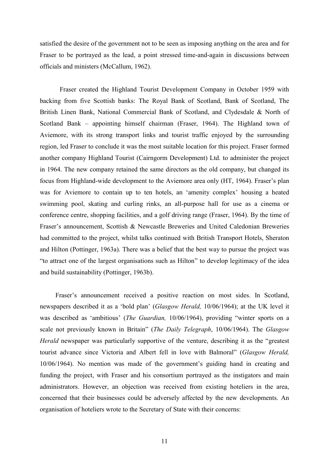satisfied the desire of the government not to be seen as imposing anything on the area and for Fraser to be portrayed as the lead, a point stressed time-and-again in discussions between officials and ministers (McCallum, 1962).

Fraser created the Highland Tourist Development Company in October 1959 with backing from five Scottish banks: The Royal Bank of Scotland, Bank of Scotland, The British Linen Bank, National Commercial Bank of Scotland, and Clydesdale & North of Scotland Bank – appointing himself chairman (Fraser, 1964). The Highland town of Aviemore, with its strong transport links and tourist traffic enjoyed by the surrounding region, led Fraser to conclude it was the most suitable location for this project. Fraser formed another company Highland Tourist (Cairngorm Development) Ltd. to administer the project in 1964. The new company retained the same directors as the old company, but changed its focus from Highland-wide development to the Aviemore area only (HT, 1964). Fraser's plan was for Aviemore to contain up to ten hotels, an 'amenity complex' housing a heated swimming pool, skating and curling rinks, an all-purpose hall for use as a cinema or conference centre, shopping facilities, and a golf driving range (Fraser, 1964). By the time of Fraser's announcement, Scottish & Newcastle Breweries and United Caledonian Breweries had committed to the project, whilst talks continued with British Transport Hotels, Sheraton and Hilton (Pottinger, 1963a). There was a belief that the best way to pursue the project was "to attract one of the largest organisations such as Hilton" to develop legitimacy of the idea and build sustainability (Pottinger, 1963b).

Fraser's announcement received a positive reaction on most sides. In Scotland, newspapers described it as a 'bold plan' (*Glasgow Herald,* 10/06/1964); at the UK level it was described as 'ambitious' (*The Guardian,* 10/06/1964), providing "winter sports on a scale not previously known in Britain" (*The Daily Telegraph*, 10/06/1964). The *Glasgow Herald* newspaper was particularly supportive of the venture, describing it as the "greatest tourist advance since Victoria and Albert fell in love with Balmoral" (*Glasgow Herald,*  10/06/1964). No mention was made of the government's guiding hand in creating and funding the project, with Fraser and his consortium portrayed as the instigators and main administrators. However, an objection was received from existing hoteliers in the area, concerned that their businesses could be adversely affected by the new developments. An organisation of hoteliers wrote to the Secretary of State with their concerns: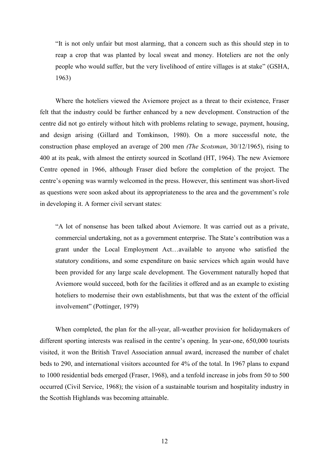"It is not only unfair but most alarming, that a concern such as this should step in to reap a crop that was planted by local sweat and money. Hoteliers are not the only people who would suffer, but the very livelihood of entire villages is at stake" (GSHA, 1963)

Where the hoteliers viewed the Aviemore project as a threat to their existence, Fraser felt that the industry could be further enhanced by a new development. Construction of the centre did not go entirely without hitch with problems relating to sewage, payment, housing, and design arising (Gillard and Tomkinson, 1980). On a more successful note, the construction phase employed an average of 200 men *(The Scotsman*, 30/12/1965), rising to 400 at its peak, with almost the entirety sourced in Scotland (HT, 1964). The new Aviemore Centre opened in 1966, although Fraser died before the completion of the project. The centre's opening was warmly welcomed in the press. However, this sentiment was short-lived as questions were soon asked about its appropriateness to the area and the government's role in developing it. A former civil servant states:

"A lot of nonsense has been talked about Aviemore. It was carried out as a private, commercial undertaking, not as a government enterprise. The State's contribution was a grant under the Local Employment Act…available to anyone who satisfied the statutory conditions, and some expenditure on basic services which again would have been provided for any large scale development. The Government naturally hoped that Aviemore would succeed, both for the facilities it offered and as an example to existing hoteliers to modernise their own establishments, but that was the extent of the official involvement" (Pottinger, 1979)

When completed, the plan for the all-year, all-weather provision for holidaymakers of different sporting interests was realised in the centre's opening. In year-one, 650,000 tourists visited, it won the British Travel Association annual award, increased the number of chalet beds to 290, and international visitors accounted for 4% of the total. In 1967 plans to expand to 1000 residential beds emerged (Fraser, 1968), and a tenfold increase in jobs from 50 to 500 occurred (Civil Service, 1968); the vision of a sustainable tourism and hospitality industry in the Scottish Highlands was becoming attainable.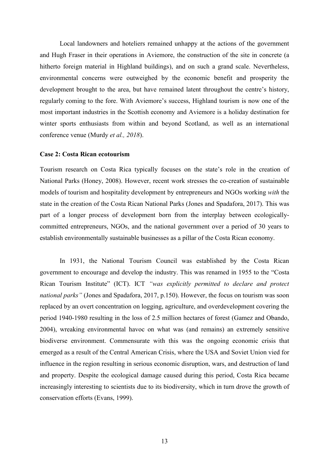Local landowners and hoteliers remained unhappy at the actions of the government and Hugh Fraser in their operations in Aviemore, the construction of the site in concrete (a hitherto foreign material in Highland buildings), and on such a grand scale. Nevertheless, environmental concerns were outweighed by the economic benefit and prosperity the development brought to the area, but have remained latent throughout the centre's history, regularly coming to the fore. With Aviemore's success, Highland tourism is now one of the most important industries in the Scottish economy and Aviemore is a holiday destination for winter sports enthusiasts from within and beyond Scotland, as well as an international conference venue (Murdy *et al., 2018*).

#### **Case 2: Costa Rican ecotourism**

Tourism research on Costa Rica typically focuses on the state's role in the creation of National Parks (Honey, 2008). However, recent work stresses the co-creation of sustainable models of tourism and hospitality development by entrepreneurs and NGOs working *with* the state in the creation of the Costa Rican National Parks (Jones and Spadafora, 2017). This was part of a longer process of development born from the interplay between ecologicallycommitted entrepreneurs, NGOs, and the national government over a period of 30 years to establish environmentally sustainable businesses as a pillar of the Costa Rican economy.

In 1931, the National Tourism Council was established by the Costa Rican government to encourage and develop the industry. This was renamed in 1955 to the "Costa Rican Tourism Institute" (ICT). ICT *"was explicitly permitted to declare and protect national parks"* (Jones and Spadafora, 2017, p.150). However, the focus on tourism was soon replaced by an overt concentration on logging, agriculture, and overdevelopment covering the period 1940-1980 resulting in the loss of 2.5 million hectares of forest (Gamez and Obando, 2004), wreaking environmental havoc on what was (and remains) an extremely sensitive biodiverse environment. Commensurate with this was the ongoing economic crisis that emerged as a result of the Central American Crisis, where the USA and Soviet Union vied for influence in the region resulting in serious economic disruption, wars, and destruction of land and property. Despite the ecological damage caused during this period, Costa Rica became increasingly interesting to scientists due to its biodiversity, which in turn drove the growth of conservation efforts (Evans, 1999).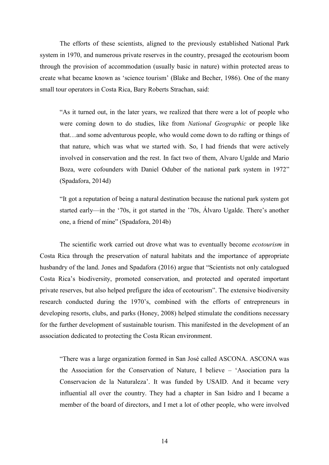The efforts of these scientists, aligned to the previously established National Park system in 1970, and numerous private reserves in the country, presaged the ecotourism boom through the provision of accommodation (usually basic in nature) within protected areas to create what became known as 'science tourism' (Blake and Becher, 1986). One of the many small tour operators in Costa Rica, Bary Roberts Strachan, said:

"As it turned out, in the later years, we realized that there were a lot of people who were coming down to do studies, like from *National Geographic* or people like that…and some adventurous people, who would come down to do rafting or things of that nature, which was what we started with. So, I had friends that were actively involved in conservation and the rest. In fact two of them, Alvaro Ugalde and Mario Boza, were cofounders with Daniel Oduber of the national park system in 1972" (Spadafora, 2014d)

"It got a reputation of being a natural destination because the national park system got started early—in the '70s, it got started in the '70s, Álvaro Ugalde. There's another one, a friend of mine" (Spadafora, 2014b)

The scientific work carried out drove what was to eventually become *ecotourism* in Costa Rica through the preservation of natural habitats and the importance of appropriate husbandry of the land. Jones and Spadafora (2016) argue that "Scientists not only catalogued Costa Rica's biodiversity, promoted conservation, and protected and operated important private reserves, but also helped prefigure the idea of ecotourism". The extensive biodiversity research conducted during the 1970's, combined with the efforts of entrepreneurs in developing resorts, clubs, and parks (Honey, 2008) helped stimulate the conditions necessary for the further development of sustainable tourism. This manifested in the development of an association dedicated to protecting the Costa Rican environment.

"There was a large organization formed in San José called ASCONA. ASCONA was the Association for the Conservation of Nature, I believe – 'Asociation para la Conservacion de la Naturaleza'. It was funded by USAID. And it became very influential all over the country. They had a chapter in San Isidro and I became a member of the board of directors, and I met a lot of other people, who were involved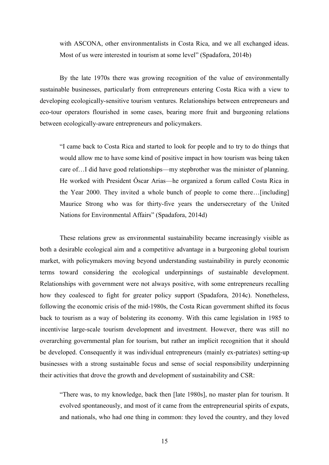with ASCONA, other environmentalists in Costa Rica, and we all exchanged ideas. Most of us were interested in tourism at some level" (Spadafora, 2014b)

By the late 1970s there was growing recognition of the value of environmentally sustainable businesses, particularly from entrepreneurs entering Costa Rica with a view to developing ecologically-sensitive tourism ventures. Relationships between entrepreneurs and eco-tour operators flourished in some cases, bearing more fruit and burgeoning relations between ecologically-aware entrepreneurs and policymakers.

"I came back to Costa Rica and started to look for people and to try to do things that would allow me to have some kind of positive impact in how tourism was being taken care of…I did have good relationships—my stepbrother was the minister of planning. He worked with President Óscar Arias—he organized a forum called Costa Rica in the Year 2000. They invited a whole bunch of people to come there…[including] Maurice Strong who was for thirty-five years the undersecretary of the United Nations for Environmental Affairs" (Spadafora, 2014d)

These relations grew as environmental sustainability became increasingly visible as both a desirable ecological aim and a competitive advantage in a burgeoning global tourism market, with policymakers moving beyond understanding sustainability in purely economic terms toward considering the ecological underpinnings of sustainable development. Relationships with government were not always positive, with some entrepreneurs recalling how they coalesced to fight for greater policy support (Spadafora, 2014c). Nonetheless, following the economic crisis of the mid-1980s, the Costa Rican government shifted its focus back to tourism as a way of bolstering its economy. With this came legislation in 1985 to incentivise large-scale tourism development and investment. However, there was still no overarching governmental plan for tourism, but rather an implicit recognition that it should be developed. Consequently it was individual entrepreneurs (mainly ex-patriates) setting-up businesses with a strong sustainable focus and sense of social responsibility underpinning their activities that drove the growth and development of sustainability and CSR:

"There was, to my knowledge, back then [late 1980s], no master plan for tourism. It evolved spontaneously, and most of it came from the entrepreneurial spirits of expats, and nationals, who had one thing in common: they loved the country, and they loved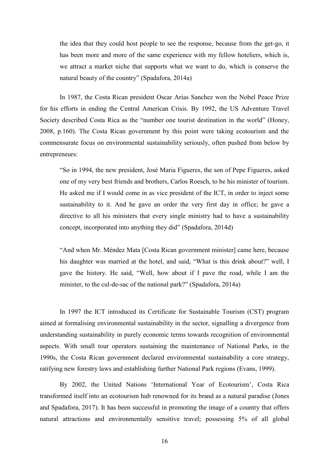the idea that they could host people to see the response, because from the get-go, it has been more and more of the same experience with my fellow hoteliers, which is, we attract a market niche that supports what we want to do, which is conserve the natural beauty of the country" (Spadafora, 2014a)

In 1987, the Costa Rican president Oscar Arias Sanchez won the Nobel Peace Prize for his efforts in ending the Central American Crisis. By 1992, the US Adventure Travel Society described Costa Rica as the "number one tourist destination in the world" (Honey, 2008, p.160). The Costa Rican government by this point were taking ecotourism and the commensurate focus on environmental sustainability seriously, often pushed from below by entrepreneurs:

"So in 1994, the new president, José Maria Figueres, the son of Pepe Figueres, asked one of my very best friends and brothers, Carlos Roesch, to be his minister of tourism. He asked me if I would come in as vice president of the ICT, in order to inject some sustainability to it. And he gave an order the very first day in office; he gave a directive to all his ministers that every single ministry had to have a sustainability concept, incorporated into anything they did" (Spadafora, 2014d)

"And when Mr. Méndez Mata [Costa Rican government minister] came here, because his daughter was married at the hotel, and said, "What is this drink about?" well, I gave the history. He said, "Well, how about if I pave the road, while I am the minister, to the cul-de-sac of the national park?" (Spadafora, 2014a)

In 1997 the ICT introduced its Certificate for Sustainable Tourism (CST) program aimed at formalising environmental sustainability in the sector, signalling a divergence from understanding sustainability in purely economic terms towards recognition of environmental aspects. With small tour operators sustaining the maintenance of National Parks, in the 1990s, the Costa Rican government declared environmental sustainability a core strategy, ratifying new forestry laws and establishing further National Park regions (Evans, 1999).

By 2002, the United Nations 'International Year of Ecotourism', Costa Rica transformed itself into an ecotourism hub renowned for its brand as a natural paradise (Jones and Spadafora, 2017). It has been successful in promoting the image of a country that offers natural attractions and environmentally sensitive travel; possessing 5% of all global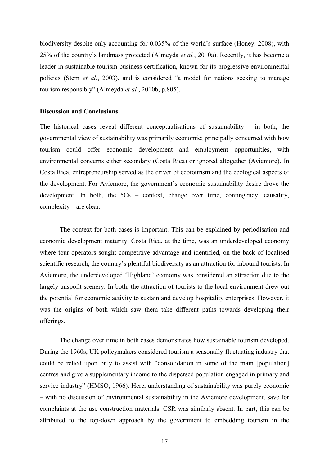biodiversity despite only accounting for 0.035% of the world's surface (Honey, 2008), with 25% of the country's landmass protected (Almeyda *et al.*, 2010a). Recently, it has become a leader in sustainable tourism business certification, known for its progressive environmental policies (Stem *et al.*, 2003), and is considered "a model for nations seeking to manage tourism responsibly" (Almeyda *et al.*, 2010b, p.805).

#### **Discussion and Conclusions**

The historical cases reveal different conceptualisations of sustainability  $-$  in both, the governmental view of sustainability was primarily economic; principally concerned with how tourism could offer economic development and employment opportunities, with environmental concerns either secondary (Costa Rica) or ignored altogether (Aviemore). In Costa Rica, entrepreneurship served as the driver of ecotourism and the ecological aspects of the development. For Aviemore, the government's economic sustainability desire drove the development. In both, the 5Cs – context, change over time, contingency, causality, complexity – are clear.

The context for both cases is important. This can be explained by periodisation and economic development maturity. Costa Rica, at the time, was an underdeveloped economy where tour operators sought competitive advantage and identified, on the back of localised scientific research, the country's plentiful biodiversity as an attraction for inbound tourists. In Aviemore, the underdeveloped 'Highland' economy was considered an attraction due to the largely unspoilt scenery. In both, the attraction of tourists to the local environment drew out the potential for economic activity to sustain and develop hospitality enterprises. However, it was the origins of both which saw them take different paths towards developing their offerings.

The change over time in both cases demonstrates how sustainable tourism developed. During the 1960s, UK policymakers considered tourism a seasonally-fluctuating industry that could be relied upon only to assist with "consolidation in some of the main [population] centres and give a supplementary income to the dispersed population engaged in primary and service industry" (HMSO, 1966). Here, understanding of sustainability was purely economic – with no discussion of environmental sustainability in the Aviemore development, save for complaints at the use construction materials. CSR was similarly absent. In part, this can be attributed to the top-down approach by the government to embedding tourism in the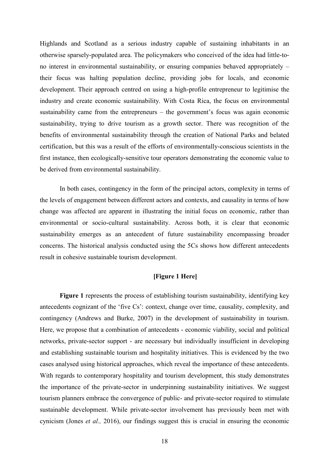Highlands and Scotland as a serious industry capable of sustaining inhabitants in an otherwise sparsely-populated area. The policymakers who conceived of the idea had little-tono interest in environmental sustainability, or ensuring companies behaved appropriately – their focus was halting population decline, providing jobs for locals, and economic development. Their approach centred on using a high-profile entrepreneur to legitimise the industry and create economic sustainability. With Costa Rica, the focus on environmental sustainability came from the entrepreneurs – the government's focus was again economic sustainability, trying to drive tourism as a growth sector. There was recognition of the benefits of environmental sustainability through the creation of National Parks and belated certification, but this was a result of the efforts of environmentally-conscious scientists in the first instance, then ecologically-sensitive tour operators demonstrating the economic value to be derived from environmental sustainability.

In both cases, contingency in the form of the principal actors, complexity in terms of the levels of engagement between different actors and contexts, and causality in terms of how change was affected are apparent in illustrating the initial focus on economic, rather than environmental or socio-cultural sustainability. Across both, it is clear that economic sustainability emerges as an antecedent of future sustainability encompassing broader concerns. The historical analysis conducted using the 5Cs shows how different antecedents result in cohesive sustainable tourism development.

# **[Figure 1 Here]**

**Figure 1** represents the process of establishing tourism sustainability, identifying key antecedents cognizant of the 'five Cs': context, change over time, causality, complexity, and contingency (Andrews and Burke, 2007) in the development of sustainability in tourism. Here, we propose that a combination of antecedents - economic viability, social and political networks, private-sector support - are necessary but individually insufficient in developing and establishing sustainable tourism and hospitality initiatives. This is evidenced by the two cases analysed using historical approaches, which reveal the importance of these antecedents. With regards to contemporary hospitality and tourism development, this study demonstrates the importance of the private-sector in underpinning sustainability initiatives. We suggest tourism planners embrace the convergence of public- and private-sector required to stimulate sustainable development. While private-sector involvement has previously been met with cynicism (Jones *et al.,* 2016), our findings suggest this is crucial in ensuring the economic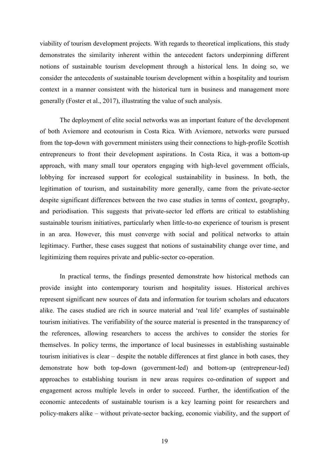viability of tourism development projects. With regards to theoretical implications, this study demonstrates the similarity inherent within the antecedent factors underpinning different notions of sustainable tourism development through a historical lens. In doing so, we consider the antecedents of sustainable tourism development within a hospitality and tourism context in a manner consistent with the historical turn in business and management more generally (Foster et al., 2017), illustrating the value of such analysis.

The deployment of elite social networks was an important feature of the development of both Aviemore and ecotourism in Costa Rica. With Aviemore, networks were pursued from the top-down with government ministers using their connections to high-profile Scottish entrepreneurs to front their development aspirations. In Costa Rica, it was a bottom-up approach, with many small tour operators engaging with high-level government officials, lobbying for increased support for ecological sustainability in business. In both, the legitimation of tourism, and sustainability more generally, came from the private-sector despite significant differences between the two case studies in terms of context, geography, and periodisation. This suggests that private-sector led efforts are critical to establishing sustainable tourism initiatives, particularly when little-to-no experience of tourism is present in an area. However, this must converge with social and political networks to attain legitimacy. Further, these cases suggest that notions of sustainability change over time, and legitimizing them requires private and public-sector co-operation.

In practical terms, the findings presented demonstrate how historical methods can provide insight into contemporary tourism and hospitality issues. Historical archives represent significant new sources of data and information for tourism scholars and educators alike. The cases studied are rich in source material and 'real life' examples of sustainable tourism initiatives. The verifiability of the source material is presented in the transparency of the references, allowing researchers to access the archives to consider the stories for themselves. In policy terms, the importance of local businesses in establishing sustainable tourism initiatives is clear – despite the notable differences at first glance in both cases, they demonstrate how both top-down (government-led) and bottom-up (entrepreneur-led) approaches to establishing tourism in new areas requires co-ordination of support and engagement across multiple levels in order to succeed. Further, the identification of the economic antecedents of sustainable tourism is a key learning point for researchers and policy-makers alike – without private-sector backing, economic viability, and the support of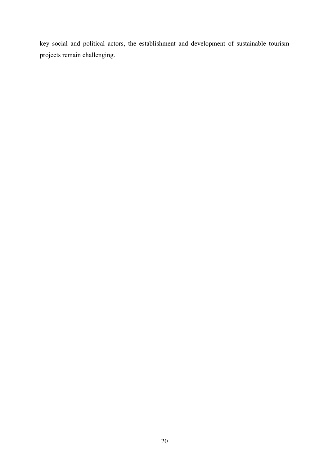key social and political actors, the establishment and development of sustainable tourism projects remain challenging.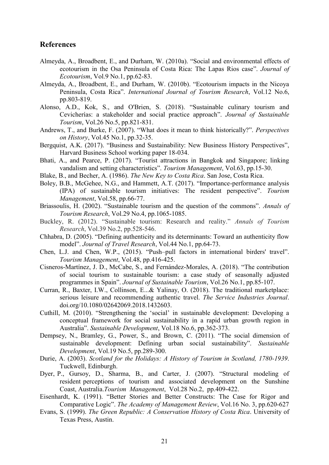# **References**

- Almeyda, A., Broadbent, E., and Durham, W. (2010a). "Social and environmental effects of ecotourism in the Osa Peninsula of Costa Rica: The Lapas Rios case". *Journal of Ecotourism*, Vol.9 No.1, pp.62-83.
- Almeyda, A., Broadbent, E., and Durham, W. (2010b). "Ecotourism impacts in the Nicoya Peninsula, Costa Rica". *International Journal of Tourism Research*, Vol.12 No.6, pp.803-819.
- Alonso, A.D., Kok, S., and O'Brien, S. (2018). "Sustainable culinary tourism and Cevicherías: a stakeholder and social practice approach". *Journal of Sustainable Tourism*, Vol.26 No.5, pp.821-831.
- Andrews, T., and Burke, F. (2007). "What does it mean to think historically?". *Perspectives on History*, Vol.45 No.1, pp.32-35.
- Bergquist, A.K. (2017). "Business and Sustainability: New Business History Perspectives", Harvard Business School working paper 18-034.
- Bhati, A., and Pearce, P. (2017). "Tourist attractions in Bangkok and Singapore; linking vandalism and setting characteristics". *Tourism Management*, Vol.63, pp.15-30.
- Blake, B., and Becher, A. (1986). *The New Key to Costa Rica*. San Jose, Costa Rica.
- Boley, B.B., McGehee, N.G., and Hammett, A.T. (2017). "Importance-performance analysis (IPA) of sustainable tourism initiatives: The resident perspective". *Tourism Management*, Vol.58, pp.66-77.
- Briassoulis, H. (2002). "Sustainable tourism and the question of the commons". *Annals of Tourism Research*, Vol.29 No.4, pp.1065-1085.
- Buckley, R. (2012). "Sustainable tourism: Research and reality." *Annals of Tourism Research*, Vol.39 No.2, pp.528-546.
- Chhabra, D. (2005). "Defining authenticity and its determinants: Toward an authenticity flow model". *Journal of Travel Research*, Vol.44 No.1, pp.64-73.
- Chen, L.J. and Chen, W.P., (2015). "Push–pull factors in international birders' travel". *Tourism Management*, Vol.48, pp.416-425.
- Cisneros-Martínez, J. D., McCabe, S., and Fernández-Morales, A. (2018). "The contribution of social tourism to sustainable tourism: a case study of seasonally adjusted programmes in Spain". *Journal of Sustainable Tourism*, Vol.26 No.1, pp.85-107.
- Curran, R., Baxter, I.W., Collinson, E...& Yalinay, O. (2018). The traditional marketplace: serious leisure and recommending authentic travel. *The Service Industries Journal*. doi.org/10.1080/02642069.2018.1432603.
- Cuthill, M. (2010). "Strengthening the 'social' in sustainable development: Developing a conceptual framework for social sustainability in a rapid urban growth region in Australia". *Sustainable Development*, Vol.18 No.6, pp.362-373.
- Dempsey, N., Bramley, G., Power, S., and Brown, C. (2011). "The social dimension of sustainable development: Defining urban social sustainability". *Sustainable Development*, Vol.19 No.5, pp.289-300.
- Durie, A. (2003). *Scotland for the Holidays: A History of Tourism in Scotland, 1780-1939*. Tuckwell, Edinburgh.
- Dyer, P., Gursoy, D., Sharma, B., and Carter, J. (2007). "Structural modeling of resident perceptions of tourism and associated development on the Sunshine Coast, Australia.*Tourism Management*, Vol.28 No.2, pp.409-422.
- Eisenhardt, K. (1991). "Better Stories and Better Constructs: The Case for Rigor and Comparative Logic". *The Academy of Management Review*, Vol.16 No. 3, pp.620-627
- Evans, S. (1999). *The Green Republic: A Conservation History of Costa Rica*. University of Texas Press, Austin.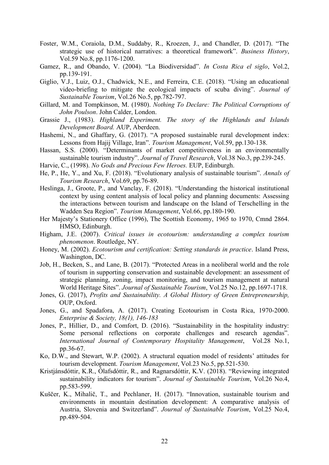- Foster, W.M., Coraiola, D.M., Suddaby, R., Kroezen, J., and Chandler, D. (2017). "The strategic use of historical narratives: a theoretical framework". *Business History*, Vol.59 No.8, pp.1176-1200.
- Gamez, R., and Obando, V. (2004). "La Biodiversidad". *In Costa Rica el siglo*, Vol.2, pp.139-191.
- Giglio, V.J., Luiz, O.J., Chadwick, N.E., and Ferreira, C.E. (2018). "Using an educational video-briefing to mitigate the ecological impacts of scuba diving". *Journal of Sustainable Tourism*, Vol.26 No.5, pp.782-797.
- Gillard, M. and Tompkinson, M. (1980). *Nothing To Declare: The Political Corruptions of John Poulson*. John Calder, London.
- Grassie J., (1983). *Highland Experiment. The story of the Highlands and Islands Development Board.* AUP, Aberdeen.
- Hashemi, N., and Ghaffary, G. (2017). "A proposed sustainable rural development index: Lessons from Hajij Village, Iran". *Tourism Management*, Vol.59, pp.130-138.
- Hassan, S.S. (2000). "Determinants of market competitiveness in an environmentally sustainable tourism industry". *Journal of Travel Research*, Vol.38 No.3, pp.239-245.
- Harvie, C., (1998). *No Gods and Precious Few Heroes.* EUP, Edinburgh.
- He, P., He, Y., and Xu, F. (2018). "Evolutionary analysis of sustainable tourism". *Annals of Tourism Research*, Vol.69, pp.76-89.
- Heslinga, J., Groote, P., and Vanclay, F. (2018). "Understanding the historical institutional context by using content analysis of local policy and planning documents: Assessing the interactions between tourism and landscape on the Island of Terschelling in the Wadden Sea Region". *Tourism Management*, Vol.66, pp.180-190.
- Her Majesty's Stationery Office (1996), The Scottish Economy, 1965 to 1970, Cmnd 2864. HMSO, Edinburgh.
- Higham, J.E. (2007). *Critical issues in ecotourism: understanding a complex tourism phenomenon*. Routledge, NY.
- Honey, M. (2002). *Ecotourism and certification: Setting standards in practice*. Island Press, Washington, DC.
- Job, H., Becken, S., and Lane, B. (2017). "Protected Areas in a neoliberal world and the role of tourism in supporting conservation and sustainable development: an assessment of strategic planning, zoning, impact monitoring, and tourism management at natural World Heritage Sites". *Journal of Sustainable Tourism*, Vol.25 No.12, pp.1697-1718.
- Jones, G. (2017), *Profits and Sustainability. A Global History of Green Entrepreneurship,* OUP, Oxford.
- Jones, G., and Spadafora, A. (2017). Creating Ecotourism in Costa Rica, 1970-2000. *Enterprise & Society, 18(1), 146-183*
- Jones, P., Hillier, D., and Comfort, D. (2016). "Sustainability in the hospitality industry: Some personal reflections on corporate challenges and research agendas". *International Journal of Contemporary Hospitality Management*, Vol.28 No.1, pp.36-67.
- Ko, D.W., and Stewart, W.P. (2002). A structural equation model of residents' attitudes for tourism development. *Tourism Management*, Vol.23 No.5, pp.521-530.
- Kristjánsdóttir, K.R., Ólafsdóttir, R., and Ragnarsdóttir, K.V. (2018). "Reviewing integrated sustainability indicators for tourism". *Journal of Sustainable Tourism*, Vol.26 No.4, pp.583-599.
- Kuščer, K., Mihalič, T., and Pechlaner, H. (2017). "Innovation, sustainable tourism and environments in mountain destination development: A comparative analysis of Austria, Slovenia and Switzerland". *Journal of Sustainable Tourism*, Vol.25 No.4, pp.489-504.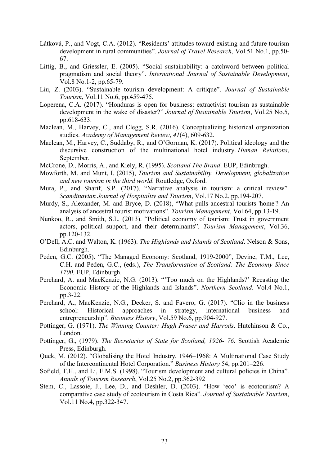- Látková, P., and Vogt, C.A. (2012). "Residents' attitudes toward existing and future tourism development in rural communities". *Journal of Travel Research*, Vol.51 No.1, pp.50- 67.
- Littig, B., and Griessler, E. (2005). "Social sustainability: a catchword between political pragmatism and social theory". *International Journal of Sustainable Development*, Vol.8 No.1-2, pp.65-79.
- Liu, Z. (2003). "Sustainable tourism development: A critique". *Journal of Sustainable Tourism*, Vol.11 No.6, pp.459-475.
- Loperena, C.A. (2017). "Honduras is open for business: extractivist tourism as sustainable development in the wake of disaster?" *Journal of Sustainable Tourism*, Vol.25 No.5, pp.618-633.
- Maclean, M., Harvey, C., and Clegg, S.R. (2016). Conceptualizing historical organization studies. *Academy of Management Review*, *41*(4), 609-632.
- Maclean, M., Harvey, C., Suddaby, R., and O'Gorman, K. (2017). Political ideology and the discursive construction of the multinational hotel industry. *Human Relations*, September.
- McCrone, D., Morris, A., and Kiely, R. (1995). *Scotland The Brand*. EUP, Edinbrugh.
- Mowforth, M. and Munt, I. (2015), *Tourism and Sustainability. Development, globalization and new tourism in the third world.* Routledge, Oxford.
- Mura, P., and Sharif, S.P. (2017). "Narrative analysis in tourism: a critical review". *Scandinavian Journal of Hospitality and Tourism*, Vol.17 No.2, pp.194-207.
- Murdy, S., Alexander, M. and Bryce, D. (2018), "What pulls ancestral tourists 'home'? An analysis of ancestral tourist motivations". *Tourism Management*, Vol.64, pp.13-19.
- Nunkoo, R., and Smith, S.L. (2013). "Political economy of tourism: Trust in government actors, political support, and their determinants". *Tourism Management*, Vol.36, pp.120-132.
- O'Dell, A.C. and Walton, K. (1963). *The Highlands and Islands of Scotland*. Nelson & Sons, Edinburgh.
- Peden, G.C. (2005). "The Managed Economy: Scotland, 1919-2000", Devine, T.M., Lee, C.H. and Peden, G.C., (eds.), *The Transformation of Scotland: The Economy Since 1700.* EUP, Edinburgh.
- Perchard, A. and MacKenzie, N.G. (2013). "'Too much on the Highlands?' Recasting the Economic History of the Highlands and Islands". *Northern Scotland*. Vol.4 No.1, pp.3-22.
- Perchard, A., MacKenzie, N.G., Decker, S. and Favero, G. (2017). "Clio in the business school: Historical approaches in strategy, international business and entrepreneurship". *Business History*, Vol.59 No.6, pp.904-927.
- Pottinger, G. (1971). *The Winning Counter: Hugh Fraser and Harrods*. Hutchinson & Co., London.
- Pottinger, G., (1979). *The Secretaries of State for Scotland, 1926- 76*. Scottish Academic Press, Edinburgh.
- Quek, M. (2012). "Globalising the Hotel Industry, 1946–1968: A Multinational Case Study of the Intercontinental Hotel Corporation." *Business History* 54, pp.201–226.
- Sofield, T.H., and Li, F.M.S. (1998). "Tourism development and cultural policies in China". *Annals of Tourism Research*, Vol.25 No.2, pp.362-392
- Stem, C., Lassoie, J., Lee, D., and Deshler, D. (2003). "How 'eco' is ecotourism? A comparative case study of ecotourism in Costa Rica". *Journal of Sustainable Tourism*, Vol.11 No.4, pp.322-347.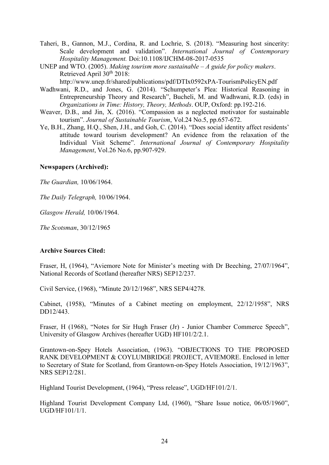- Taheri, B., Gannon, M.J., Cordina, R. and Lochrie, S. (2018). "Measuring host sincerity: Scale development and validation". *International Journal of Contemporary Hospitality Management.* Doi:10.1108/IJCHM-08-2017-0535
- UNEP and WTO. (2005). *Making tourism more sustainable – A guide for policy makers*. Retrieved April 30<sup>th</sup> 2018: http://www.unep.fr/shared/publications/pdf/DTIx0592xPA-TourismPolicyEN.pdf
- Wadhwani, R.D., and Jones, G. (2014). "Schumpeter's Plea: Historical Reasoning in Entrepreneurship Theory and Research", Bucheli, M. and Wadhwani, R.D. (eds) in *Organizations in Time: History, Theory, Methods*. OUP, Oxford: pp.192-216.
- Weaver, D.B., and Jin, X. (2016). "Compassion as a neglected motivator for sustainable tourism". *Journal of Sustainable Tourism*, Vol.24 No.5, pp.657-672.
- Ye, B.H., Zhang, H.Q., Shen, J.H., and Goh, C. (2014). "Does social identity affect residents' attitude toward tourism development? An evidence from the relaxation of the Individual Visit Scheme". *International Journal of Contemporary Hospitality Management*, Vol.26 No.6, pp.907-929.

# **Newspapers (Archived):**

*The Guardian,* 10/06/1964.

*The Daily Telegraph,* 10/06/1964.

*Glasgow Herald,* 10/06/1964.

*The Scotsman*, 30/12/1965

# **Archive Sources Cited:**

Fraser, H, (1964), "Aviemore Note for Minister's meeting with Dr Beeching, 27/07/1964", National Records of Scotland (hereafter NRS) SEP12/237.

Civil Service, (1968), "Minute 20/12/1968", NRS SEP4/4278.

Cabinet, (1958), "Minutes of a Cabinet meeting on employment, 22/12/1958", NRS DD12/443.

Fraser, H (1968), "Notes for Sir Hugh Fraser (Jr) - Junior Chamber Commerce Speech", University of Glasgow Archives (hereafter UGD) HF101/2/2.1.

Grantown-on-Spey Hotels Association, (1963). "OBJECTIONS TO THE PROPOSED RANK DEVELOPMENT & COYLUMBRIDGE PROJECT, AVIEMORE. Enclosed in letter to Secretary of State for Scotland, from Grantown-on-Spey Hotels Association, 19/12/1963", NRS SEP12/281.

Highland Tourist Development, (1964), "Press release", UGD/HF101/2/1.

Highland Tourist Development Company Ltd, (1960), "Share Issue notice, 06/05/1960", UGD/HF101/1/1.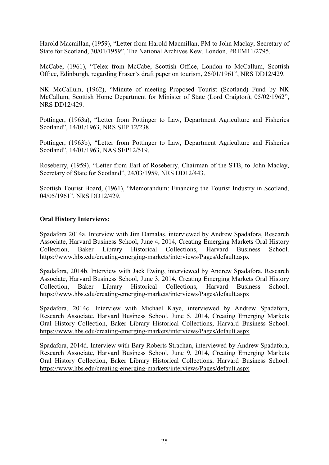Harold Macmillan, (1959), "Letter from Harold Macmillan, PM to John Maclay, Secretary of State for Scotland, 30/01/1959", The National Archives Kew, London, PREM11/2795.

McCabe, (1961), "Telex from McCabe, Scottish Office, London to McCallum, Scottish Office, Edinburgh, regarding Fraser's draft paper on tourism, 26/01/1961", NRS DD12/429.

NK McCallum, (1962), "Minute of meeting Proposed Tourist (Scotland) Fund by NK McCallum, Scottish Home Department for Minister of State (Lord Craigton), 05/02/1962", NRS DD12/429.

Pottinger, (1963a), "Letter from Pottinger to Law, Department Agriculture and Fisheries Scotland", 14/01/1963, NRS SEP 12/238.

Pottinger, (1963b), "Letter from Pottinger to Law, Department Agriculture and Fisheries Scotland", 14/01/1963, NAS SEP12/519.

Roseberry, (1959), "Letter from Earl of Roseberry, Chairman of the STB, to John Maclay, Secretary of State for Scotland", 24/03/1959, NRS DD12/443.

Scottish Tourist Board, (1961), "Memorandum: Financing the Tourist Industry in Scotland, 04/05/1961", NRS DD12/429.

# **Oral History Interviews:**

Spadafora 2014a. Interview with Jim Damalas, interviewed by Andrew Spadafora, Research Associate, Harvard Business School, June 4, 2014, Creating Emerging Markets Oral History Collection, Baker Library Historical Collections, Harvard Business School. <https://www.hbs.edu/creating-emerging-markets/interviews/Pages/default.aspx>

Spadafora, 2014b. Interview with Jack Ewing, interviewed by Andrew Spadafora, Research Associate, Harvard Business School, June 3, 2014, Creating Emerging Markets Oral History Collection, Baker Library Historical Collections, Harvard Business School. <https://www.hbs.edu/creating-emerging-markets/interviews/Pages/default.aspx>

Spadafora, 2014c. Interview with Michael Kaye, interviewed by Andrew Spadafora, Research Associate, Harvard Business School, June 5, 2014, Creating Emerging Markets Oral History Collection, Baker Library Historical Collections, Harvard Business School. <https://www.hbs.edu/creating-emerging-markets/interviews/Pages/default.aspx>

Spadafora, 2014d. Interview with Bary Roberts Strachan, interviewed by Andrew Spadafora, Research Associate, Harvard Business School, June 9, 2014, Creating Emerging Markets Oral History Collection, Baker Library Historical Collections, Harvard Business School. <https://www.hbs.edu/creating-emerging-markets/interviews/Pages/default.aspx>